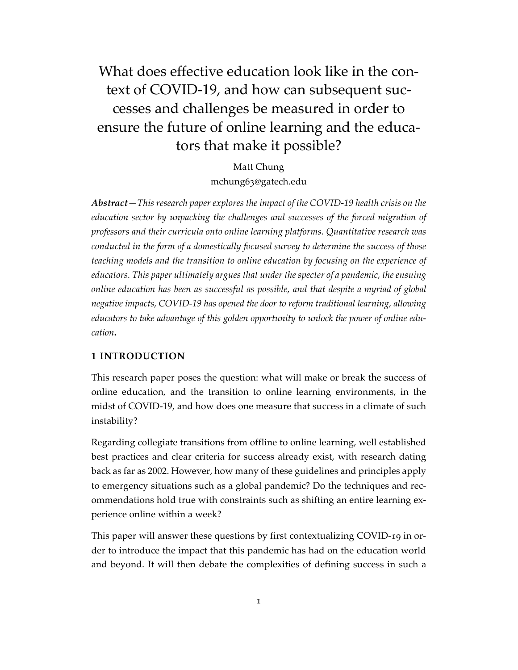What does effective education look like in the context of COVID-19, and how can subsequent successes and challenges be measured in order to ensure the future of online learning and the educators that make it possible?

Matt Chung

mchung63@gatech.edu

*Abstract—This research paper explores the impact of the COVID-19 health crisis on the education sector by unpacking the challenges and successes of the forced migration of professors and their curricula onto online learning platforms. Quantitative research was conducted in the form of a domestically focused survey to determine the success of those teaching models and the transition to online education by focusing on the experience of educators. This paper ultimately argues that under the specter of a pandemic, the ensuing online education has been as successful as possible, and that despite a myriad of global negative impacts, COVID-19 has opened the door to reform traditional learning, allowing educators to take advantage of this golden opportunity to unlock the power of online education.*

# **1 INTRODUCTION**

This research paper poses the question: what will make or break the success of online education, and the transition to online learning environments, in the midst of COVID-19, and how does one measure that success in a climate of such instability?

Regarding collegiate transitions from offline to online learning, well established best practices and clear criteria for success already exist, with research dating back as far as 2002. However, how many of these guidelines and principles apply to emergency situations such as a global pandemic? Do the techniques and recommendations hold true with constraints such as shifting an entire learning experience online within a week?

This paper will answer these questions by first contextualizing COVID-19 in order to introduce the impact that this pandemic has had on the education world and beyond. It will then debate the complexities of defining success in such a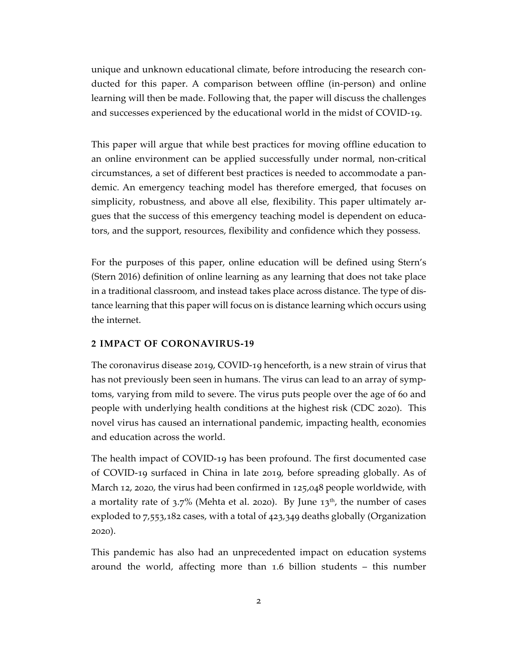unique and unknown educational climate, before introducing the research conducted for this paper. A comparison between offline (in-person) and online learning will then be made. Following that, the paper will discuss the challenges and successes experienced by the educational world in the midst of COVID-19.

This paper will argue that while best practices for moving offline education to an online environment can be applied successfully under normal, non-critical circumstances, a set of different best practices is needed to accommodate a pandemic. An emergency teaching model has therefore emerged, that focuses on simplicity, robustness, and above all else, flexibility. This paper ultimately argues that the success of this emergency teaching model is dependent on educators, and the support, resources, flexibility and confidence which they possess.

For the purposes of this paper, online education will be defined using Stern's (Stern 2016) definition of online learning as any learning that does not take place in a traditional classroom, and instead takes place across distance. The type of distance learning that this paper will focus on is distance learning which occurs using the internet.

#### **2 IMPACT OF CORONAVIRUS-19**

The coronavirus disease 2019, COVID-19 henceforth, is a new strain of virus that has not previously been seen in humans. The virus can lead to an array of symptoms, varying from mild to severe. The virus puts people over the age of 60 and people with underlying health conditions at the highest risk (CDC 2020). This novel virus has caused an international pandemic, impacting health, economies and education across the world.

The health impact of COVID-19 has been profound. The first documented case of COVID-19 surfaced in China in late 2019, before spreading globally. As of March 12, 2020, the virus had been confirmed in 125,048 people worldwide, with a mortality rate of  $3.7\%$  (Mehta et al. 2020). By June  $13<sup>th</sup>$ , the number of cases exploded to  $7,553,182$  cases, with a total of  $423,349$  deaths globally (Organization  $2020$ ).

This pandemic has also had an unprecedented impact on education systems around the world, affecting more than  $1.6$  billion students – this number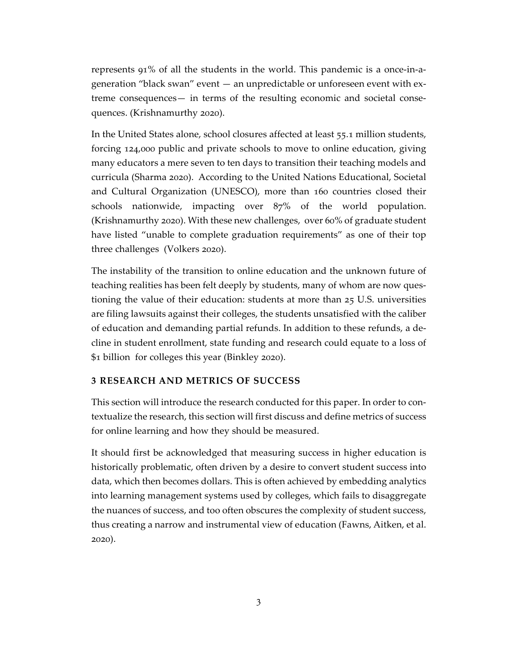represents 91% of all the students in the world. This pandemic is a once-in-ageneration "black swan" event — an unpredictable or unforeseen event with extreme consequences— in terms of the resulting economic and societal consequences. (Krishnamurthy 2020).

In the United States alone, school closures affected at least 55.1 million students, forcing 124,000 public and private schools to move to online education, giving many educators a mere seven to ten days to transition their teaching models and curricula (Sharma 2020). According to the United Nations Educational, Societal and Cultural Organization (UNESCO), more than 160 countries closed their schools nationwide, impacting over  $87\%$  of the world population. (Krishnamurthy 2020). With these new challenges, over  $60\%$  of graduate student have listed "unable to complete graduation requirements" as one of their top three challenges (Volkers 2020).

The instability of the transition to online education and the unknown future of teaching realities has been felt deeply by students, many of whom are now questioning the value of their education: students at more than  $25$  U.S. universities are filing lawsuits against their colleges, the students unsatisfied with the caliber of education and demanding partial refunds. In addition to these refunds, a decline in student enrollment, state funding and research could equate to a loss of \$1 billion for colleges this year (Binkley 2020).

# **3 RESEARCH AND METRICS OF SUCCESS**

This section will introduce the research conducted for this paper. In order to contextualize the research, this section will first discuss and define metrics of success for online learning and how they should be measured.

It should first be acknowledged that measuring success in higher education is historically problematic, often driven by a desire to convert student success into data, which then becomes dollars. This is often achieved by embedding analytics into learning management systems used by colleges, which fails to disaggregate the nuances of success, and too often obscures the complexity of student success, thus creating a narrow and instrumental view of education (Fawns, Aitken, et al.  $2020$ ).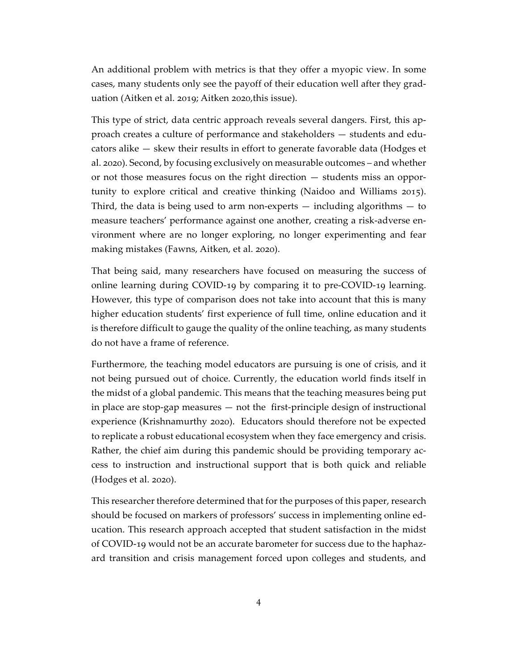An additional problem with metrics is that they offer a myopic view. In some cases, many students only see the payoff of their education well after they graduation (Aitken et al. 2019; Aitken 2020, this issue).

This type of strict, data centric approach reveals several dangers. First, this approach creates a culture of performance and stakeholders — students and educators alike — skew their results in effort to generate favorable data (Hodges et al. 2020). Second, by focusing exclusively on measurable outcomes – and whether or not those measures focus on the right direction — students miss an opportunity to explore critical and creative thinking (Naidoo and Williams 2015). Third, the data is being used to arm non-experts — including algorithms — to measure teachers' performance against one another, creating a risk-adverse environment where are no longer exploring, no longer experimenting and fear making mistakes (Fawns, Aitken, et al. 2020).

That being said, many researchers have focused on measuring the success of online learning during COVID-19 by comparing it to pre-COVID-19 learning. However, this type of comparison does not take into account that this is many higher education students' first experience of full time, online education and it is therefore difficult to gauge the quality of the online teaching, as many students do not have a frame of reference.

Furthermore, the teaching model educators are pursuing is one of crisis, and it not being pursued out of choice. Currently, the education world finds itself in the midst of a global pandemic. This means that the teaching measures being put in place are stop-gap measures — not the first-principle design of instructional experience (Krishnamurthy 2020). Educators should therefore not be expected to replicate a robust educational ecosystem when they face emergency and crisis. Rather, the chief aim during this pandemic should be providing temporary access to instruction and instructional support that is both quick and reliable  $(Hodges et al. 2020).$ 

This researcher therefore determined that for the purposes of this paper, research should be focused on markers of professors' success in implementing online education. This research approach accepted that student satisfaction in the midst of COVID-19 would not be an accurate barometer for success due to the haphazard transition and crisis management forced upon colleges and students, and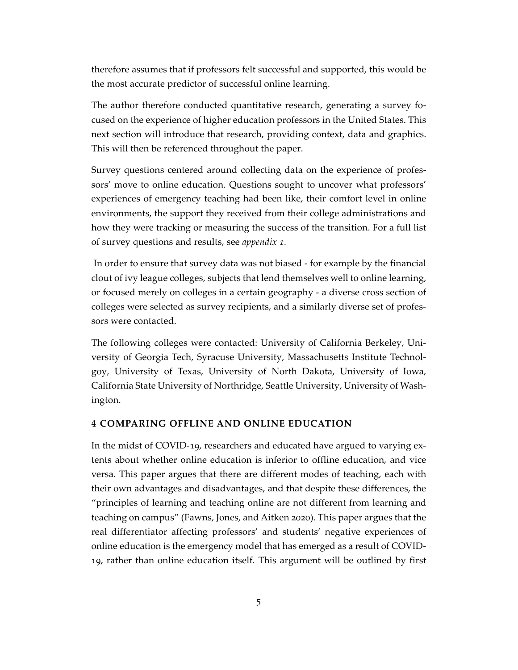therefore assumes that if professors felt successful and supported, this would be the most accurate predictor of successful online learning.

The author therefore conducted quantitative research, generating a survey focused on the experience of higher education professors in the United States. This next section will introduce that research, providing context, data and graphics. This will then be referenced throughout the paper.

Survey questions centered around collecting data on the experience of professors' move to online education. Questions sought to uncover what professors' experiences of emergency teaching had been like, their comfort level in online environments, the support they received from their college administrations and how they were tracking or measuring the success of the transition. For a full list of survey questions and results, see *appendix ).*

In order to ensure that survey data was not biased - for example by the financial clout of ivy league colleges, subjects that lend themselves well to online learning, or focused merely on colleges in a certain geography - a diverse cross section of colleges were selected as survey recipients, and a similarly diverse set of professors were contacted.

The following colleges were contacted: University of California Berkeley, University of Georgia Tech, Syracuse University, Massachusetts Institute Technolgoy, University of Texas, University of North Dakota, University of Iowa, California State University of Northridge, Seattle University, University of Washington.

### **4 COMPARING OFFLINE AND ONLINE EDUCATION**

In the midst of COVID-19, researchers and educated have argued to varying extents about whether online education is inferior to offline education, and vice versa. This paper argues that there are different modes of teaching, each with their own advantages and disadvantages, and that despite these differences, the "principles of learning and teaching online are not different from learning and teaching on campus" (Fawns, Jones, and Aitken 2020). This paper argues that the real differentiator affecting professors' and students' negative experiences of online education is the emergency model that has emerged as a result of COVID- 19, rather than online education itself. This argument will be outlined by first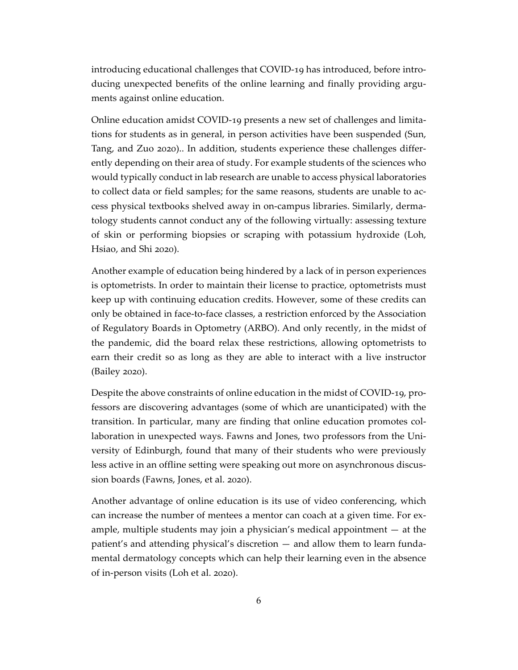introducing educational challenges that COVID-19 has introduced, before introducing unexpected benefits of the online learning and finally providing arguments against online education.

Online education amidst COVID-19 presents a new set of challenges and limitations for students as in general, in person activities have been suspended (Sun, Tang, and Zuo 2020).. In addition, students experience these challenges differently depending on their area of study. For example students of the sciences who would typically conduct in lab research are unable to access physical laboratories to collect data or field samples; for the same reasons, students are unable to access physical textbooks shelved away in on-campus libraries. Similarly, dermatology students cannot conduct any of the following virtually: assessing texture of skin or performing biopsies or scraping with potassium hydroxide (Loh, Hsiao, and Shi 2020).

Another example of education being hindered by a lack of in person experiences is optometrists. In order to maintain their license to practice, optometrists must keep up with continuing education credits. However, some of these credits can only be obtained in face-to-face classes, a restriction enforced by the Association of Regulatory Boards in Optometry (ARBO). And only recently, in the midst of the pandemic, did the board relax these restrictions, allowing optometrists to earn their credit so as long as they are able to interact with a live instructor (Bailey 2020).

Despite the above constraints of online education in the midst of COVID-19, professors are discovering advantages (some of which are unanticipated) with the transition. In particular, many are finding that online education promotes collaboration in unexpected ways. Fawns and Jones, two professors from the University of Edinburgh, found that many of their students who were previously less active in an offline setting were speaking out more on asynchronous discussion boards (Fawns, Jones, et al. 2020).

Another advantage of online education is its use of video conferencing, which can increase the number of mentees a mentor can coach at a given time. For example, multiple students may join a physician's medical appointment — at the patient's and attending physical's discretion — and allow them to learn fundamental dermatology concepts which can help their learning even in the absence of in-person visits (Loh et al. 2020).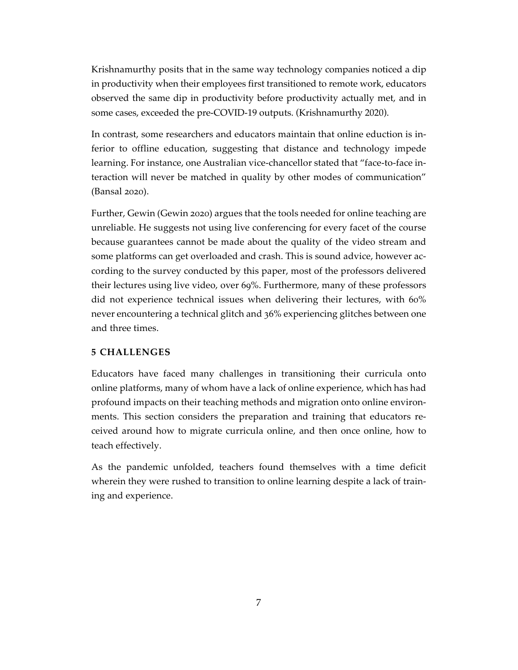Krishnamurthy posits that in the same way technology companies noticed a dip in productivity when their employees first transitioned to remote work, educators observed the same dip in productivity before productivity actually met, and in some cases, exceeded the pre-COVID-19 outputs. (Krishnamurthy 2020).

In contrast, some researchers and educators maintain that online eduction is inferior to offline education, suggesting that distance and technology impede learning. For instance, one Australian vice-chancellor stated that "face-to-face interaction will never be matched in quality by other modes of communication"  $(Bansal 2020)$ .

Further, Gewin (Gewin 2020) argues that the tools needed for online teaching are unreliable. He suggests not using live conferencing for every facet of the course because guarantees cannot be made about the quality of the video stream and some platforms can get overloaded and crash. This is sound advice, however according to the survey conducted by this paper, most of the professors delivered their lectures using live video, over 69%. Furthermore, many of these professors did not experience technical issues when delivering their lectures, with  $60\%$ never encountering a technical glitch and 36% experiencing glitches between one and three times.

### **5 CHALLENGES**

Educators have faced many challenges in transitioning their curricula onto online platforms, many of whom have a lack of online experience, which has had profound impacts on their teaching methods and migration onto online environments. This section considers the preparation and training that educators received around how to migrate curricula online, and then once online, how to teach effectively.

As the pandemic unfolded, teachers found themselves with a time deficit wherein they were rushed to transition to online learning despite a lack of training and experience.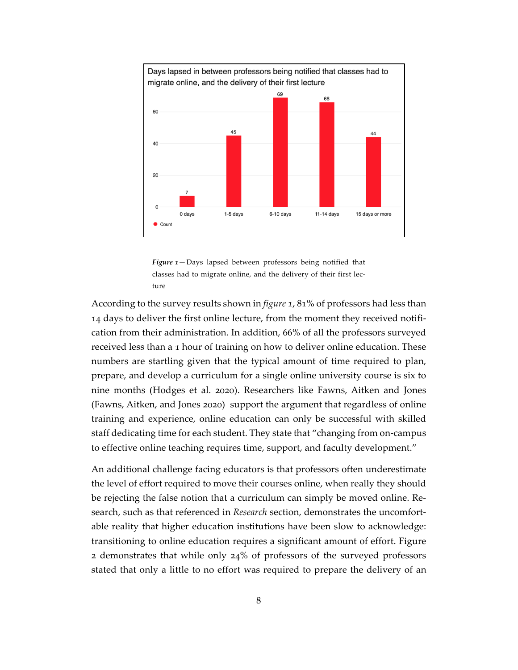

*Figure 1* - Days lapsed between professors being notified that classes had to migrate online, and the delivery of their first lecture

According to the survey results shown in *figure 1*, 81% of professors had less than 14 days to deliver the first online lecture, from the moment they received notification from their administration. In addition,  $66\%$  of all the professors surveyed received less than a 1 hour of training on how to deliver online education. These numbers are startling given that the typical amount of time required to plan, prepare, and develop a curriculum for a single online university course is six to nine months (Hodges et al. 2020). Researchers like Fawns, Aitken and Jones (Fawns, Aitken, and Jones 2020) support the argument that regardless of online training and experience, online education can only be successful with skilled staff dedicating time for each student. They state that "changing from on-campus to effective online teaching requires time, support, and faculty development."

An additional challenge facing educators is that professors often underestimate the level of effort required to move their courses online, when really they should be rejecting the false notion that a curriculum can simply be moved online. Research, such as that referenced in *Research* section, demonstrates the uncomfortable reality that higher education institutions have been slow to acknowledge: transitioning to online education requires a significant amount of effort. Figure  $\alpha$  demonstrates that while only  $24\%$  of professors of the surveyed professors stated that only a little to no effort was required to prepare the delivery of an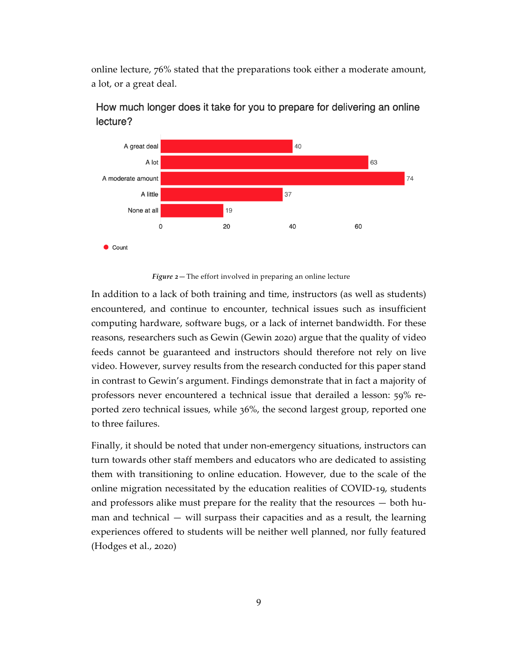online lecture,  $76\%$  stated that the preparations took either a moderate amount, a lot, or a great deal.



How much longer does it take for you to prepare for delivering an online lecture?

*Figure 2* – The effort involved in preparing an online lecture

In addition to a lack of both training and time, instructors (as well as students) encountered, and continue to encounter, technical issues such as insufficient computing hardware, software bugs, or a lack of internet bandwidth. For these reasons, researchers such as Gewin (Gewin 2020) argue that the quality of video feeds cannot be guaranteed and instructors should therefore not rely on live video. However, survey results from the research conducted for this paper stand in contrast to Gewin's argument. Findings demonstrate that in fact a majority of professors never encountered a technical issue that derailed a lesson:  $59\%$  reported zero technical issues, while  $36\%$ , the second largest group, reported one to three failures.

Finally, it should be noted that under non-emergency situations, instructors can turn towards other staff members and educators who are dedicated to assisting them with transitioning to online education. However, due to the scale of the online migration necessitated by the education realities of COVID-19, students and professors alike must prepare for the reality that the resources — both human and technical  $-$  will surpass their capacities and as a result, the learning experiences offered to students will be neither well planned, nor fully featured  $(Hodges et al., 2020)$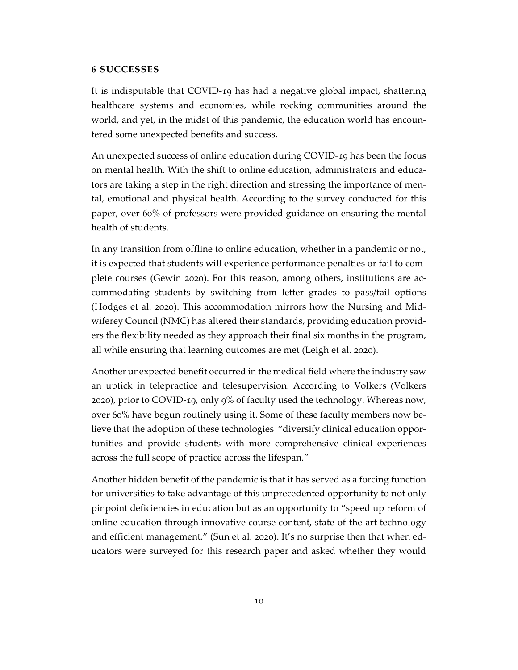# **6 SUCCESSES**

It is indisputable that COVID-19 has had a negative global impact, shattering healthcare systems and economies, while rocking communities around the world, and yet, in the midst of this pandemic, the education world has encountered some unexpected benefits and success.

An unexpected success of online education during COVID-19 has been the focus on mental health. With the shift to online education, administrators and educators are taking a step in the right direction and stressing the importance of mental, emotional and physical health. According to the survey conducted for this paper, over 60% of professors were provided guidance on ensuring the mental health of students.

In any transition from offline to online education, whether in a pandemic or not, it is expected that students will experience performance penalties or fail to complete courses (Gewin 2020). For this reason, among others, institutions are accommodating students by switching from letter grades to pass/fail options (Hodges et al. 2020). This accommodation mirrors how the Nursing and Midwiferey Council (NMC) has altered their standards, providing education providers the flexibility needed as they approach their final six months in the program, all while ensuring that learning outcomes are met (Leigh et al. 2020).

Another unexpected benefit occurred in the medical field where the industry saw an uptick in telepractice and telesupervision. According to Volkers (Volkers 2020), prior to COVID-19, only 9% of faculty used the technology. Whereas now, over 60% have begun routinely using it. Some of these faculty members now believe that the adoption of these technologies "diversify clinical education opportunities and provide students with more comprehensive clinical experiences across the full scope of practice across the lifespan."

Another hidden benefit of the pandemic is that it has served as a forcing function for universities to take advantage of this unprecedented opportunity to not only pinpoint deficiencies in education but as an opportunity to "speed up reform of online education through innovative course content, state-of-the-art technology and efficient management." (Sun et al. 2020). It's no surprise then that when educators were surveyed for this research paper and asked whether they would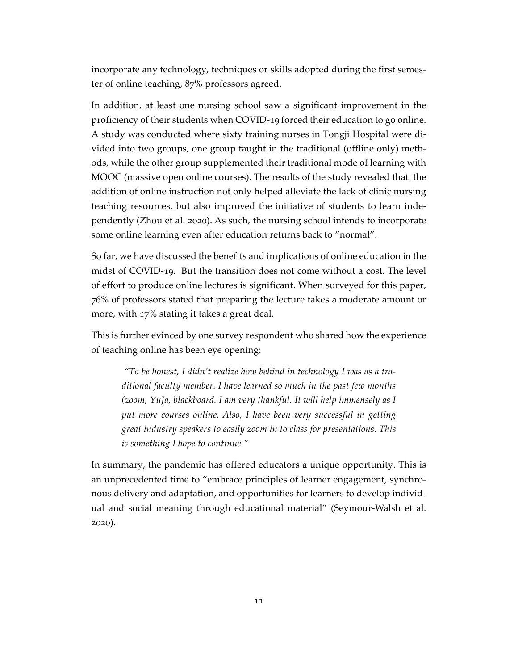incorporate any technology, techniques or skills adopted during the first semester of online teaching,  $87\%$  professors agreed.

In addition, at least one nursing school saw a significant improvement in the proficiency of their students when COVID-19 forced their education to go online. A study was conducted where sixty training nurses in Tongji Hospital were divided into two groups, one group taught in the traditional (offline only) methods, while the other group supplemented their traditional mode of learning with MOOC (massive open online courses). The results of the study revealed that the addition of online instruction not only helped alleviate the lack of clinic nursing teaching resources, but also improved the initiative of students to learn independently (Zhou et al. 2020). As such, the nursing school intends to incorporate some online learning even after education returns back to "normal".

So far, we have discussed the benefits and implications of online education in the midst of COVID-19. But the transition does not come without a cost. The level of effort to produce online lectures is significant. When surveyed for this paper, S-% of professors stated that preparing the lecture takes a moderate amount or more, with  $17\%$  stating it takes a great deal.

This is further evinced by one survey respondent who shared how the experience of teaching online has been eye opening:

*"To be honest, I didn't realize how behind in technology I was as a traditional faculty member. I have learned so much in the past few months (zoom, YuJa, blackboard. I am very thankful. It will help immensely as I put more courses online. Also, I have been very successful in getting great industry speakers to easily zoom in to class for presentations. This is something I hope to continue."*

In summary, the pandemic has offered educators a unique opportunity. This is an unprecedented time to "embrace principles of learner engagement, synchronous delivery and adaptation, and opportunities for learners to develop individual and social meaning through educational material" (Seymour-Walsh et al. 2020).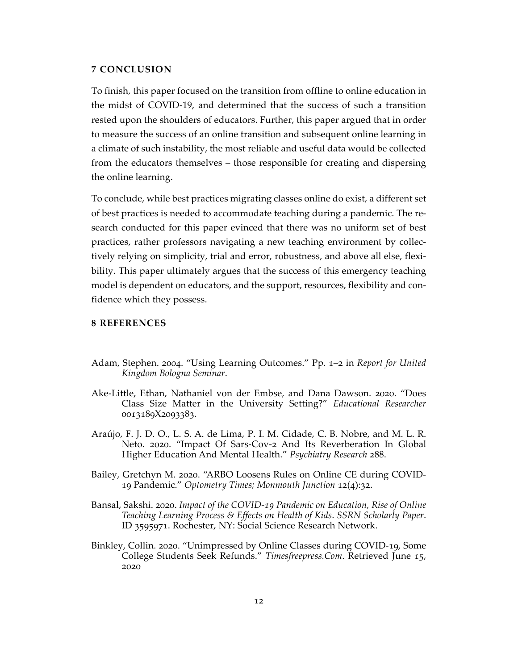# **7 CONCLUSION**

To finish, this paper focused on the transition from offline to online education in the midst of COVID-19, and determined that the success of such a transition rested upon the shoulders of educators. Further, this paper argued that in order to measure the success of an online transition and subsequent online learning in a climate of such instability, the most reliable and useful data would be collected from the educators themselves – those responsible for creating and dispersing the online learning.

To conclude, while best practices migrating classes online do exist, a different set of best practices is needed to accommodate teaching during a pandemic. The research conducted for this paper evinced that there was no uniform set of best practices, rather professors navigating a new teaching environment by collectively relying on simplicity, trial and error, robustness, and above all else, flexibility. This paper ultimately argues that the success of this emergency teaching model is dependent on educators, and the support, resources, flexibility and confidence which they possess.

### **8 REFERENCES**

- Adam, Stephen. 2004. "Using Learning Outcomes." Pp. 1-2 in *Report for United Kingdom Bologna Seminar*.
- Ake-Little, Ethan, Nathaniel von der Embse, and Dana Dawson. 2020. "Does Class Size Matter in the University Setting?" *Educational Researcher* 0013189X2093383.
- Araújo, F. J. D. O., L. S. A. de Lima, P. I. M. Cidade, C. B. Nobre, and M. L. R. Neto. 2020. "Impact Of Sars-Cov-2 And Its Reverberation In Global Higher Education And Mental Health." Psychiatry Research 288.
- Bailey, Gretchyn M. 2020. "ARBO Loosens Rules on Online CE during COVID-19 Pandemic." *Optometry Times; Monmouth Junction* 12(4):32.
- Bansal, Sakshi. 2020. *Impact of the COVID-19 Pandemic on Education, Rise of Online Teaching Learning Process & Effects on Health of Kids*. *SSRN Scholarly Paper*. ID 3595971. Rochester, NY: Social Science Research Network.
- Binkley, Collin. 2020. "Unimpressed by Online Classes during COVID-19, Some College Students Seek Refunds." *Timesfreepress.Com*. Retrieved June 15, 2020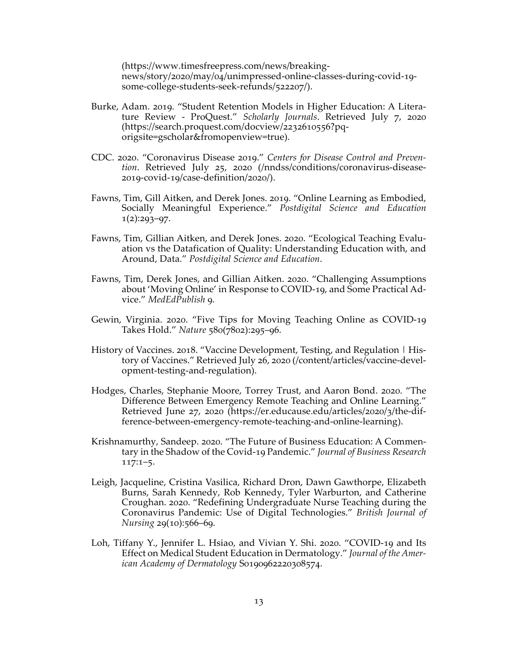(https://www.timesfreepress.com/news/breakingnews/story/2020/may/04/unimpressed-online-classes-during-covid-19some-college-students-seek-refunds/522207/).

- Burke, Adam. 2019. "Student Retention Models in Higher Education: A Literature Review - ProQuest." Scholarly Journals. Retrieved July 7, 2020  $(\text{https://search.proquest.com/docview/2232610556?pq-})$ origsite=gscholar&fromopenview=true).
- CDC. 2020. "Coronavirus Disease 2019." Centers for Disease Control and Preven*tion*. Retrieved July 25, 2020 (/nndss/conditions/coronavirus-disease-2019-covid-19/case-definition/2020/).
- Fawns, Tim, Gill Aitken, and Derek Jones. 2019. "Online Learning as Embodied, Socially Meaningful Experience." *Postdigital Science and Education*  $1(2):293-97.$
- Fawns, Tim, Gillian Aitken, and Derek Jones. 2020. "Ecological Teaching Evaluation vs the Datafication of Quality: Understanding Education with, and Around, Data." *Postdigital Science and Education*.
- Fawns, Tim, Derek Jones, and Gillian Aitken. 2020. "Challenging Assumptions about 'Moving Online' in Response to COVID-19, and Some Practical Advice." MedEdPublish 9.
- Gewin, Virginia. 2020. "Five Tips for Moving Teaching Online as COVID-19 Takes Hold." *Nature* 580(7802):295-96.
- History of Vaccines. 2018. "Vaccine Development, Testing, and Regulation  $\vert$  History of Vaccines." Retrieved July 26, 2020 (/content/articles/vaccine-development-testing-and-regulation).
- Hodges, Charles, Stephanie Moore, Torrey Trust, and Aaron Bond. 2020. "The Difference Between Emergency Remote Teaching and Online Learning." Retrieved June 27, 2020 (https://er.educause.edu/articles/2020/3/the-difference-between-emergency-remote-teaching-and-online-learning).
- Krishnamurthy, Sandeep. 2020. "The Future of Business Education: A Commentary in the Shadow of the Covid-19 Pandemic." *Journal of Business Research*  $117:1-5.$
- Leigh, Jacqueline, Cristina Vasilica, Richard Dron, Dawn Gawthorpe, Elizabeth Burns, Sarah Kennedy, Rob Kennedy, Tyler Warburton, and Catherine Croughan. 2020. "Redefining Undergraduate Nurse Teaching during the Coronavirus Pandemic: Use of Digital Technologies." *British Journal of Nursing* 29(10):566–69.
- Loh, Tiffany Y., Jennifer L. Hsiao, and Vivian Y. Shi. 2020. "COVID-19 and Its Effect on Medical Student Education in Dermatology." *Journal of the American Academy of Dermatology* S0190962220308574.